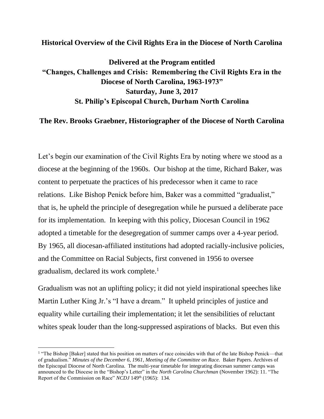## **Historical Overview of the Civil Rights Era in the Diocese of North Carolina**

## **Delivered at the Program entitled "Changes, Challenges and Crisis: Remembering the Civil Rights Era in the Diocese of North Carolina, 1963-1973" Saturday, June 3, 2017 St. Philip's Episcopal Church, Durham North Carolina**

## **The Rev. Brooks Graebner, Historiographer of the Diocese of North Carolina**

Let's begin our examination of the Civil Rights Era by noting where we stood as a diocese at the beginning of the 1960s. Our bishop at the time, Richard Baker, was content to perpetuate the practices of his predecessor when it came to race relations. Like Bishop Penick before him, Baker was a committed "gradualist," that is, he upheld the principle of desegregation while he pursued a deliberate pace for its implementation. In keeping with this policy, Diocesan Council in 1962 adopted a timetable for the desegregation of summer camps over a 4-year period. By 1965, all diocesan-affiliated institutions had adopted racially-inclusive policies, and the Committee on Racial Subjects, first convened in 1956 to oversee gradualism, declared its work complete.<sup>1</sup>

Gradualism was not an uplifting policy; it did not yield inspirational speeches like Martin Luther King Jr.'s "I have a dream." It upheld principles of justice and equality while curtailing their implementation; it let the sensibilities of reluctant whites speak louder than the long-suppressed aspirations of blacks. But even this

<sup>&</sup>lt;sup>1</sup> "The Bishop [Baker] stated that his position on matters of race coincides with that of the late Bishop Penick—that of gradualism." *Minutes of the December 6, 1961, Meeting of the Committee on Race.* Baker Papers. Archives of the Episcopal Diocese of North Carolina. The multi-year timetable for integrating diocesan summer camps was announced to the Diocese in the "Bishop's Letter" in the *North Carolina Churchman* (November 1962): 11. "The Report of the Commission on Race" *NCDJ* 149<sup>th</sup> (1965): 134.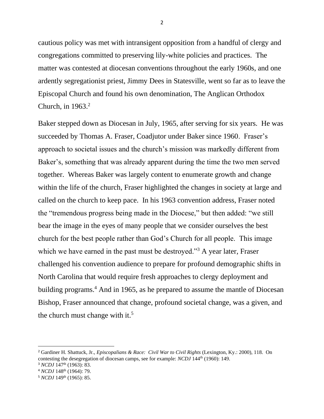cautious policy was met with intransigent opposition from a handful of clergy and congregations committed to preserving lily-white policies and practices. The matter was contested at diocesan conventions throughout the early 1960s, and one ardently segregationist priest, Jimmy Dees in Statesville, went so far as to leave the Episcopal Church and found his own denomination, The Anglican Orthodox Church, in  $1963.<sup>2</sup>$ 

Baker stepped down as Diocesan in July, 1965, after serving for six years. He was succeeded by Thomas A. Fraser, Coadjutor under Baker since 1960. Fraser's approach to societal issues and the church's mission was markedly different from Baker's, something that was already apparent during the time the two men served together. Whereas Baker was largely content to enumerate growth and change within the life of the church, Fraser highlighted the changes in society at large and called on the church to keep pace. In his 1963 convention address, Fraser noted the "tremendous progress being made in the Diocese," but then added: "we still bear the image in the eyes of many people that we consider ourselves the best church for the best people rather than God's Church for all people. This image which we have earned in the past must be destroyed."<sup>3</sup> A year later, Fraser challenged his convention audience to prepare for profound demographic shifts in North Carolina that would require fresh approaches to clergy deployment and building programs.<sup>4</sup> And in 1965, as he prepared to assume the mantle of Diocesan Bishop, Fraser announced that change, profound societal change, was a given, and the church must change with it.<sup>5</sup>

<sup>2</sup> Gardiner H. Shattuck, Jr., *Episcopalians & Race: Civil War to Civil Rights* (Lexington, Ky.: 2000), 118. On contesting the desegregation of diocesan camps, see for example: *NCDJ* 144<sup>th</sup> (1960): 149.

<sup>&</sup>lt;sup>3</sup> *NCDJ* 147<sup>th</sup> (1963): 83.

<sup>&</sup>lt;sup>4</sup> *NCDJ* 148<sup>th</sup> (1964): 79.

<sup>&</sup>lt;sup>5</sup> *NCDJ* 149<sup>th</sup> (1965): 85.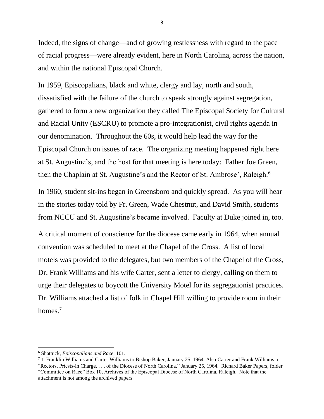Indeed, the signs of change—and of growing restlessness with regard to the pace of racial progress—were already evident, here in North Carolina, across the nation, and within the national Episcopal Church.

In 1959, Episcopalians, black and white, clergy and lay, north and south, dissatisfied with the failure of the church to speak strongly against segregation, gathered to form a new organization they called The Episcopal Society for Cultural and Racial Unity (ESCRU) to promote a pro-integrationist, civil rights agenda in our denomination. Throughout the 60s, it would help lead the way for the Episcopal Church on issues of race. The organizing meeting happened right here at St. Augustine's, and the host for that meeting is here today: Father Joe Green, then the Chaplain at St. Augustine's and the Rector of St. Ambrose', Raleigh.<sup>6</sup>

In 1960, student sit-ins began in Greensboro and quickly spread. As you will hear in the stories today told by Fr. Green, Wade Chestnut, and David Smith, students from NCCU and St. Augustine's became involved. Faculty at Duke joined in, too.

A critical moment of conscience for the diocese came early in 1964, when annual convention was scheduled to meet at the Chapel of the Cross. A list of local motels was provided to the delegates, but two members of the Chapel of the Cross, Dr. Frank Williams and his wife Carter, sent a letter to clergy, calling on them to urge their delegates to boycott the University Motel for its segregationist practices. Dr. Williams attached a list of folk in Chapel Hill willing to provide room in their homes.<sup>7</sup>

<sup>6</sup> Shattuck, *Episcopalians and Race*, 101.

<sup>7</sup> T. Franklin Williams and Carter Williams to Bishop Baker, January 25, 1964. Also Carter and Frank Williams to "Rectors, Priests-in Charge, . . . of the Diocese of North Carolina," January 25, 1964. Richard Baker Papers, folder "Committee on Race" Box 10, Archives of the Episcopal Diocese of North Carolina, Raleigh. Note that the attachment is not among the archived papers.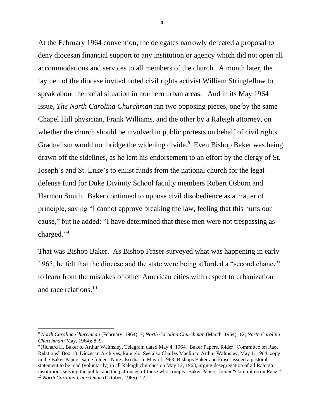At the February 1964 convention, the delegates narrowly defeated a proposal to deny diocesan financial support to any institution or agency which did not open all accommodations and services to all members of the church. A month later, the laymen of the diocese invited noted civil rights activist William Stringfellow to speak about the racial situation in northern urban areas. And in its May 1964 issue, *The North Carolina Churchman* ran two opposing pieces, one by the same Chapel Hill physician, Frank Williams, and the other by a Raleigh attorney, on whether the church should be involved in public protests on behalf of civil rights. Gradualism would not bridge the widening divide.<sup>8</sup> Even Bishop Baker was being drawn off the sidelines, as he lent his endorsement to an effort by the clergy of St. Joseph's and St. Luke's to enlist funds from the national church for the legal defense fund for Duke Divinity School faculty members Robert Osborn and Harmon Smith. Baker continued to oppose civil disobedience as a matter of principle, saying "I cannot approve breaking the law, feeling that this hurts our cause," but he added: "I have determined that these men were not trespassing as charged." 9

That was Bishop Baker. As Bishop Fraser surveyed what was happening in early 1965, he felt that the diocese and the state were being afforded a "second chance" to learn from the mistakes of other American cities with respect to urbanization and race relations. 10

<sup>8</sup> *North Carolina Churchman* (February, 1964): 7; *North Carolina Churchman* (March, 1964): 12; *North Carolina Churchman* (May, 1964): 8, 9.

<sup>9</sup> Richard H. Baker to Arthur Walmsley, Telegram dated May 4, 1964. Baker Papers, folder "Committee on Race Relations" Box 10, Diocesan Archives, Raleigh. See also Charles Maclin to Arthur Walmsley, May 1, 1964, copy in the Baker Papers, same folder. Note also that in May of 1963, Bishops Baker and Fraser issued a pastoral statement to be read (voluntarily) in all Raleigh churches on May 12, 1963, urging desegregation of all Raleigh institutions serving the public and the patronage of those who comply. Baker Papers, folder "Committee on Race." <sup>10</sup> *North Carolina Churchman* (October, 1965): 12.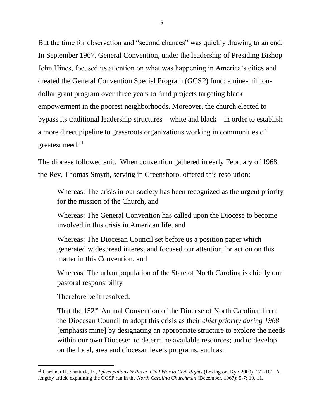But the time for observation and "second chances" was quickly drawing to an end. In September 1967, General Convention, under the leadership of Presiding Bishop John Hines, focused its attention on what was happening in America's cities and created the General Convention Special Program (GCSP) fund: a nine-milliondollar grant program over three years to fund projects targeting black empowerment in the poorest neighborhoods. Moreover, the church elected to bypass its traditional leadership structures—white and black—in order to establish a more direct pipeline to grassroots organizations working in communities of greatest need. $11$ 

The diocese followed suit. When convention gathered in early February of 1968, the Rev. Thomas Smyth, serving in Greensboro, offered this resolution:

Whereas: The crisis in our society has been recognized as the urgent priority for the mission of the Church, and

Whereas: The General Convention has called upon the Diocese to become involved in this crisis in American life, and

Whereas: The Diocesan Council set before us a position paper which generated widespread interest and focused our attention for action on this matter in this Convention, and

Whereas: The urban population of the State of North Carolina is chiefly our pastoral responsibility

Therefore be it resolved:

That the 152<sup>nd</sup> Annual Convention of the Diocese of North Carolina direct the Diocesan Council to adopt this crisis as their *chief priority during 1968* [emphasis mine] by designating an appropriate structure to explore the needs within our own Diocese: to determine available resources; and to develop on the local, area and diocesan levels programs, such as:

<sup>11</sup> Gardiner H. Shattuck, Jr., *Episcopalians & Race: Civil War to Civil Rights* (Lexington, Ky.: 2000), 177-181. A lengthy article explaining the GCSP ran in the *North Carolina Churchman* (December, 1967): 5-7; 10, 11.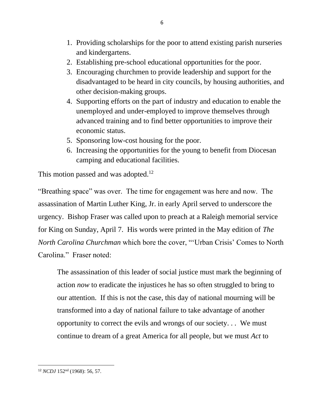- 1. Providing scholarships for the poor to attend existing parish nurseries and kindergartens.
- 2. Establishing pre-school educational opportunities for the poor.
- 3. Encouraging churchmen to provide leadership and support for the disadvantaged to be heard in city councils, by housing authorities, and other decision-making groups.
- 4. Supporting efforts on the part of industry and education to enable the unemployed and under-employed to improve themselves through advanced training and to find better opportunities to improve their economic status.
- 5. Sponsoring low-cost housing for the poor.
- 6. Increasing the opportunities for the young to benefit from Diocesan camping and educational facilities.

This motion passed and was adopted.<sup>12</sup>

"Breathing space" was over. The time for engagement was here and now. The assassination of Martin Luther King, Jr. in early April served to underscore the urgency. Bishop Fraser was called upon to preach at a Raleigh memorial service for King on Sunday, April 7. His words were printed in the May edition of *The North Carolina Churchman* which bore the cover, "'Urban Crisis' Comes to North Carolina." Fraser noted:

The assassination of this leader of social justice must mark the beginning of action *now* to eradicate the injustices he has so often struggled to bring to our attention. If this is not the case, this day of national mourning will be transformed into a day of national failure to take advantage of another opportunity to correct the evils and wrongs of our society. . . We must continue to dream of a great America for all people, but we must *Act* to

<sup>12</sup> *NCDJ* 152nd (1968): 56, 57.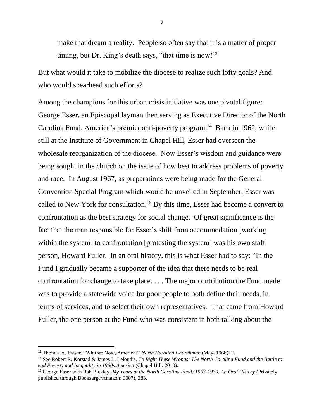make that dream a reality. People so often say that it is a matter of proper timing, but Dr. King's death says, "that time is now!<sup>13</sup>

But what would it take to mobilize the diocese to realize such lofty goals? And who would spearhead such efforts?

Among the champions for this urban crisis initiative was one pivotal figure: George Esser, an Episcopal layman then serving as Executive Director of the North Carolina Fund, America's premier anti-poverty program.<sup>14</sup> Back in 1962, while still at the Institute of Government in Chapel Hill, Esser had overseen the wholesale reorganization of the diocese. Now Esser's wisdom and guidance were being sought in the church on the issue of how best to address problems of poverty and race. In August 1967, as preparations were being made for the General Convention Special Program which would be unveiled in September, Esser was called to New York for consultation.<sup>15</sup> By this time, Esser had become a convert to confrontation as the best strategy for social change. Of great significance is the fact that the man responsible for Esser's shift from accommodation [working within the system] to confrontation [protesting the system] was his own staff person, Howard Fuller. In an oral history, this is what Esser had to say: "In the Fund I gradually became a supporter of the idea that there needs to be real confrontation for change to take place. . . . The major contribution the Fund made was to provide a statewide voice for poor people to both define their needs, in terms of services, and to select their own representatives. That came from Howard Fuller, the one person at the Fund who was consistent in both talking about the

<sup>13</sup> Thomas A. Fraser, "Whither Now, America?" *North Carolina Churchman* (May, 1968): 2.

<sup>14</sup> See Robert R. Korstad & James L. Leloudis, *To Right These Wrongs: The North Carolina Fund and the Battle to end Poverty and Inequality in 1960s America* (Chapel Hill: 2010).

<sup>&</sup>lt;sup>15</sup> George Esser with Rah Bickley, *My Years at the North Carolina Fund: 1963-1970. An Oral History (Privately* published through Booksurge/Amazon: 2007), 283.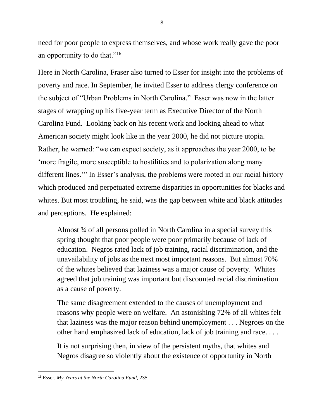need for poor people to express themselves, and whose work really gave the poor an opportunity to do that."<sup>16</sup>

Here in North Carolina, Fraser also turned to Esser for insight into the problems of poverty and race. In September, he invited Esser to address clergy conference on the subject of "Urban Problems in North Carolina." Esser was now in the latter stages of wrapping up his five-year term as Executive Director of the North Carolina Fund. Looking back on his recent work and looking ahead to what American society might look like in the year 2000, he did not picture utopia. Rather, he warned: "we can expect society, as it approaches the year 2000, to be 'more fragile, more susceptible to hostilities and to polarization along many different lines.'" In Esser's analysis, the problems were rooted in our racial history which produced and perpetuated extreme disparities in opportunities for blacks and whites. But most troubling, he said, was the gap between white and black attitudes and perceptions. He explained:

Almost ¾ of all persons polled in North Carolina in a special survey this spring thought that poor people were poor primarily because of lack of education. Negros rated lack of job training, racial discrimination, and the unavailability of jobs as the next most important reasons. But almost 70% of the whites believed that laziness was a major cause of poverty. Whites agreed that job training was important but discounted racial discrimination as a cause of poverty.

The same disagreement extended to the causes of unemployment and reasons why people were on welfare. An astonishing 72% of all whites felt that laziness was the major reason behind unemployment . . . Negroes on the other hand emphasized lack of education, lack of job training and race. . . .

It is not surprising then, in view of the persistent myths, that whites and Negros disagree so violently about the existence of opportunity in North

<sup>16</sup> Esser, *My Years at the North Carolina Fund,* 235.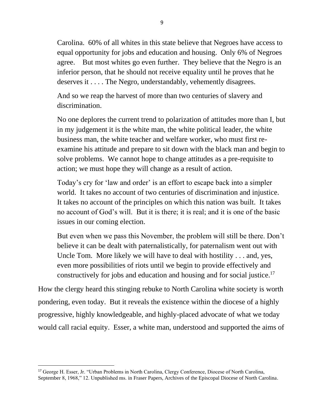Carolina. 60% of all whites in this state believe that Negroes have access to equal opportunity for jobs and education and housing. Only 6% of Negroes agree. But most whites go even further. They believe that the Negro is an inferior person, that he should not receive equality until he proves that he deserves it . . . . The Negro, understandably, vehemently disagrees.

And so we reap the harvest of more than two centuries of slavery and discrimination.

No one deplores the current trend to polarization of attitudes more than I, but in my judgement it is the white man, the white political leader, the white business man, the white teacher and welfare worker, who must first reexamine his attitude and prepare to sit down with the black man and begin to solve problems. We cannot hope to change attitudes as a pre-requisite to action; we must hope they will change as a result of action.

Today's cry for 'law and order' is an effort to escape back into a simpler world. It takes no account of two centuries of discrimination and injustice. It takes no account of the principles on which this nation was built. It takes no account of God's will. But it is there; it is real; and it is one of the basic issues in our coming election.

But even when we pass this November, the problem will still be there. Don't believe it can be dealt with paternalistically, for paternalism went out with Uncle Tom. More likely we will have to deal with hostility . . . and, yes, even more possibilities of riots until we begin to provide effectively and constructively for jobs and education and housing and for social justice.<sup>17</sup>

How the clergy heard this stinging rebuke to North Carolina white society is worth pondering, even today. But it reveals the existence within the diocese of a highly progressive, highly knowledgeable, and highly-placed advocate of what we today would call racial equity. Esser, a white man, understood and supported the aims of

<sup>17</sup> George H. Esser, Jr. "Urban Problems in North Carolina, Clergy Conference, Diocese of North Carolina, September 8, 1968," 12. Unpublished ms. in Fraser Papers, Archives of the Episcopal Diocese of North Carolina.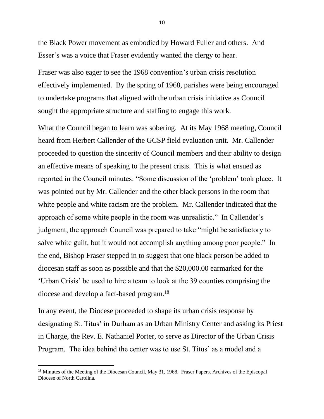the Black Power movement as embodied by Howard Fuller and others. And Esser's was a voice that Fraser evidently wanted the clergy to hear.

Fraser was also eager to see the 1968 convention's urban crisis resolution effectively implemented. By the spring of 1968, parishes were being encouraged to undertake programs that aligned with the urban crisis initiative as Council sought the appropriate structure and staffing to engage this work.

What the Council began to learn was sobering. At its May 1968 meeting, Council heard from Herbert Callender of the GCSP field evaluation unit. Mr. Callender proceeded to question the sincerity of Council members and their ability to design an effective means of speaking to the present crisis. This is what ensued as reported in the Council minutes: "Some discussion of the 'problem' took place. It was pointed out by Mr. Callender and the other black persons in the room that white people and white racism are the problem. Mr. Callender indicated that the approach of some white people in the room was unrealistic." In Callender's judgment, the approach Council was prepared to take "might be satisfactory to salve white guilt, but it would not accomplish anything among poor people." In the end, Bishop Fraser stepped in to suggest that one black person be added to diocesan staff as soon as possible and that the \$20,000.00 earmarked for the 'Urban Crisis' be used to hire a team to look at the 39 counties comprising the diocese and develop a fact-based program.<sup>18</sup>

In any event, the Diocese proceeded to shape its urban crisis response by designating St. Titus' in Durham as an Urban Ministry Center and asking its Priest in Charge, the Rev. E. Nathaniel Porter, to serve as Director of the Urban Crisis Program. The idea behind the center was to use St. Titus' as a model and a

<sup>&</sup>lt;sup>18</sup> Minutes of the Meeting of the Diocesan Council, May 31, 1968. Fraser Papers. Archives of the Episcopal Diocese of North Carolina.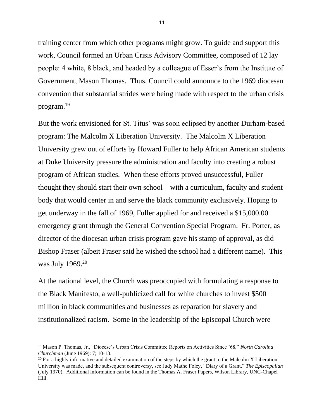training center from which other programs might grow. To guide and support this work, Council formed an Urban Crisis Advisory Committee, composed of 12 lay people: 4 white, 8 black, and headed by a colleague of Esser's from the Institute of Government, Mason Thomas. Thus, Council could announce to the 1969 diocesan convention that substantial strides were being made with respect to the urban crisis program. 19

But the work envisioned for St. Titus' was soon eclipsed by another Durham-based program: The Malcolm X Liberation University. The Malcolm X Liberation University grew out of efforts by Howard Fuller to help African American students at Duke University pressure the administration and faculty into creating a robust program of African studies. When these efforts proved unsuccessful, Fuller thought they should start their own school—with a curriculum, faculty and student body that would center in and serve the black community exclusively. Hoping to get underway in the fall of 1969, Fuller applied for and received a \$15,000.00 emergency grant through the General Convention Special Program. Fr. Porter, as director of the diocesan urban crisis program gave his stamp of approval, as did Bishop Fraser (albeit Fraser said he wished the school had a different name). This was July 1969.<sup>20</sup>

At the national level, the Church was preoccupied with formulating a response to the Black Manifesto, a well-publicized call for white churches to invest \$500 million in black communities and businesses as reparation for slavery and institutionalized racism. Some in the leadership of the Episcopal Church were

<sup>19</sup> Mason P. Thomas, Jr., "Diocese's Urban Crisis Committee Reports on Activities Since '68," *North Carolina Churchman* (June 1969): 7; 10-13.

<sup>&</sup>lt;sup>20</sup> For a highly informative and detailed examination of the steps by which the grant to the Malcolm X Liberation University was made, and the subsequent controversy, see Judy Mathe Foley, "Diary of a Grant," *The Episcopalian*  (July 1970). Additional information can be found in the Thomas A. Fraser Papers, Wilson Library, UNC-Chapel Hill.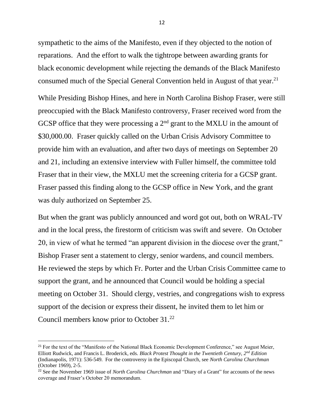sympathetic to the aims of the Manifesto, even if they objected to the notion of reparations. And the effort to walk the tightrope between awarding grants for black economic development while rejecting the demands of the Black Manifesto consumed much of the Special General Convention held in August of that year.<sup>21</sup>

While Presiding Bishop Hines, and here in North Carolina Bishop Fraser, were still preoccupied with the Black Manifesto controversy, Fraser received word from the GCSP office that they were processing a  $2<sup>nd</sup>$  grant to the MXLU in the amount of \$30,000.00. Fraser quickly called on the Urban Crisis Advisory Committee to provide him with an evaluation, and after two days of meetings on September 20 and 21, including an extensive interview with Fuller himself, the committee told Fraser that in their view, the MXLU met the screening criteria for a GCSP grant. Fraser passed this finding along to the GCSP office in New York, and the grant was duly authorized on September 25.

But when the grant was publicly announced and word got out, both on WRAL-TV and in the local press, the firestorm of criticism was swift and severe. On October 20, in view of what he termed "an apparent division in the diocese over the grant," Bishop Fraser sent a statement to clergy, senior wardens, and council members. He reviewed the steps by which Fr. Porter and the Urban Crisis Committee came to support the grant, and he announced that Council would be holding a special meeting on October 31. Should clergy, vestries, and congregations wish to express support of the decision or express their dissent, he invited them to let him or Council members know prior to October 31.<sup>22</sup>

<sup>&</sup>lt;sup>21</sup> For the text of the "Manifesto of the National Black Economic Development Conference," see August Meier, Elliott Rudwick, and Francis L. Broderick, eds. *Black Protest Thought in the Twentieth Century, 2nd Edition*  (Indianapolis, 1971): 536-549. For the controversy in the Episcopal Church, see *North Carolina Churchman*  (October 1969), 2-5.

<sup>22</sup> See the November 1969 issue of *North Carolina Churchman* and "Diary of a Grant" for accounts of the news coverage and Fraser's October 20 memorandum.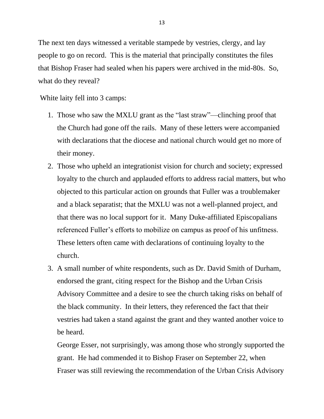The next ten days witnessed a veritable stampede by vestries, clergy, and lay people to go on record. This is the material that principally constitutes the files that Bishop Fraser had sealed when his papers were archived in the mid-80s. So, what do they reveal?

White laity fell into 3 camps:

- 1. Those who saw the MXLU grant as the "last straw"—clinching proof that the Church had gone off the rails. Many of these letters were accompanied with declarations that the diocese and national church would get no more of their money.
- 2. Those who upheld an integrationist vision for church and society; expressed loyalty to the church and applauded efforts to address racial matters, but who objected to this particular action on grounds that Fuller was a troublemaker and a black separatist; that the MXLU was not a well-planned project, and that there was no local support for it. Many Duke-affiliated Episcopalians referenced Fuller's efforts to mobilize on campus as proof of his unfitness. These letters often came with declarations of continuing loyalty to the church.
- 3. A small number of white respondents, such as Dr. David Smith of Durham, endorsed the grant, citing respect for the Bishop and the Urban Crisis Advisory Committee and a desire to see the church taking risks on behalf of the black community. In their letters, they referenced the fact that their vestries had taken a stand against the grant and they wanted another voice to be heard.

George Esser, not surprisingly, was among those who strongly supported the grant. He had commended it to Bishop Fraser on September 22, when Fraser was still reviewing the recommendation of the Urban Crisis Advisory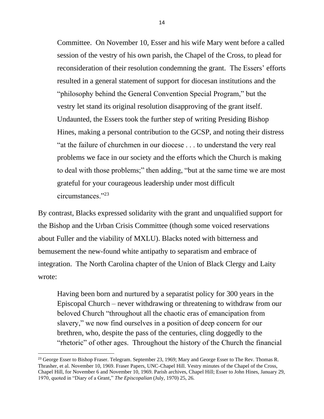Committee. On November 10, Esser and his wife Mary went before a called session of the vestry of his own parish, the Chapel of the Cross, to plead for reconsideration of their resolution condemning the grant. The Essers' efforts resulted in a general statement of support for diocesan institutions and the "philosophy behind the General Convention Special Program," but the vestry let stand its original resolution disapproving of the grant itself. Undaunted, the Essers took the further step of writing Presiding Bishop Hines, making a personal contribution to the GCSP, and noting their distress "at the failure of churchmen in our diocese . . . to understand the very real problems we face in our society and the efforts which the Church is making to deal with those problems;" then adding, "but at the same time we are most grateful for your courageous leadership under most difficult circumstances."<sup>23</sup>

By contrast, Blacks expressed solidarity with the grant and unqualified support for the Bishop and the Urban Crisis Committee (though some voiced reservations about Fuller and the viability of MXLU). Blacks noted with bitterness and bemusement the new-found white antipathy to separatism and embrace of integration. The North Carolina chapter of the Union of Black Clergy and Laity wrote:

Having been born and nurtured by a separatist policy for 300 years in the Episcopal Church – never withdrawing or threatening to withdraw from our beloved Church "throughout all the chaotic eras of emancipation from slavery," we now find ourselves in a position of deep concern for our brethren, who, despite the pass of the centuries, cling doggedly to the "rhetoric" of other ages. Throughout the history of the Church the financial

<sup>&</sup>lt;sup>23</sup> George Esser to Bishop Fraser. Telegram. September 23, 1969; Mary and George Esser to The Rev. Thomas R. Thrasher, et al. November 10, 1969. Fraser Papers, UNC-Chapel Hill. Vestry minutes of the Chapel of the Cross, Chapel Hill, for November 6 and November 10, 1969. Parish archives, Chapel Hill; Esser to John Hines, January 29, 1970, quoted in "Diary of a Grant," *The Episcopalian* (July, 1970) 25, 26.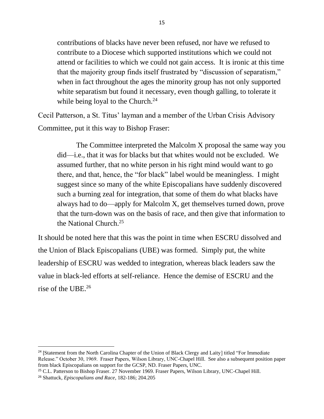contributions of blacks have never been refused, nor have we refused to contribute to a Diocese which supported institutions which we could not attend or facilities to which we could not gain access. It is ironic at this time that the majority group finds itself frustrated by "discussion of separatism," when in fact throughout the ages the minority group has not only supported white separatism but found it necessary, even though galling, to tolerate it while being loyal to the Church.<sup>24</sup>

Cecil Patterson, a St. Titus' layman and a member of the Urban Crisis Advisory Committee, put it this way to Bishop Fraser:

The Committee interpreted the Malcolm X proposal the same way you did—i.e., that it was for blacks but that whites would not be excluded. We assumed further, that no white person in his right mind would want to go there, and that, hence, the "for black" label would be meaningless. I might suggest since so many of the white Episcopalians have suddenly discovered such a burning zeal for integration, that some of them do what blacks have always had to do—apply for Malcolm X, get themselves turned down, prove that the turn-down was on the basis of race, and then give that information to the National Church.<sup>25</sup>

It should be noted here that this was the point in time when ESCRU dissolved and the Union of Black Episcopalians (UBE) was formed. Simply put, the white leadership of ESCRU was wedded to integration, whereas black leaders saw the value in black-led efforts at self-reliance. Hence the demise of ESCRU and the rise of the UBE.<sup>26</sup>

<sup>&</sup>lt;sup>24</sup> [Statement from the North Carolina Chapter of the Union of Black Clergy and Laity] titled "For Immediate" Release." October 30, 1969. Fraser Papers, Wilson Library, UNC-Chapel Hill. See also a subsequent position paper from black Episcopalians on support for the GCSP, ND. Fraser Papers, UNC.

<sup>25</sup> C.L. Patterson to Bishop Fraser. 27 November 1969. Fraser Papers, Wilson Library, UNC-Chapel Hill.

<sup>26</sup> Shattuck*, Episcopalians and Race*, 182-186; 204.205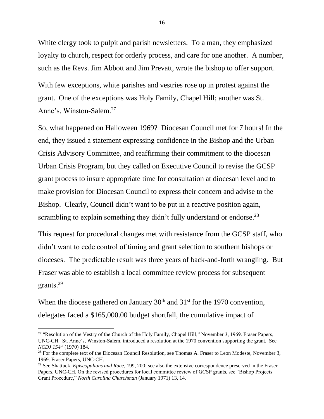White clergy took to pulpit and parish newsletters. To a man, they emphasized loyalty to church, respect for orderly process, and care for one another. A number, such as the Revs. Jim Abbott and Jim Prevatt, wrote the bishop to offer support.

With few exceptions, white parishes and vestries rose up in protest against the grant. One of the exceptions was Holy Family, Chapel Hill; another was St. Anne's, Winston-Salem.<sup>27</sup>

So, what happened on Halloween 1969? Diocesan Council met for 7 hours! In the end, they issued a statement expressing confidence in the Bishop and the Urban Crisis Advisory Committee, and reaffirming their commitment to the diocesan Urban Crisis Program, but they called on Executive Council to revise the GCSP grant process to insure appropriate time for consultation at diocesan level and to make provision for Diocesan Council to express their concern and advise to the Bishop. Clearly, Council didn't want to be put in a reactive position again, scrambling to explain something they didn't fully understand or endorse.<sup>28</sup>

This request for procedural changes met with resistance from the GCSP staff, who didn't want to cede control of timing and grant selection to southern bishops or dioceses. The predictable result was three years of back-and-forth wrangling. But Fraser was able to establish a local committee review process for subsequent grants.<sup>29</sup>

When the diocese gathered on January  $30<sup>th</sup>$  and  $31<sup>st</sup>$  for the 1970 convention, delegates faced a \$165,000.00 budget shortfall, the cumulative impact of

<sup>&</sup>lt;sup>27</sup> "Resolution of the Vestry of the Church of the Holy Family, Chapel Hill," November 3, 1969. Fraser Papers, UNC-CH. St. Anne's, Winston-Salem, introduced a resolution at the 1970 convention supporting the grant. See *NCDJ 154th* (1970) 184.

<sup>&</sup>lt;sup>28</sup> For the complete text of the Diocesan Council Resolution, see Thomas A. Fraser to Leon Modeste, November 3, 1969. Fraser Papers, UNC-CH.

<sup>29</sup> See Shattuck, *Episcopalians and Race*, 199, 200; see also the extensive correspondence preserved in the Fraser Papers, UNC-CH. On the revised procedures for local committee review of GCSP grants, see "Bishop Projects Grant Procedure," *North Carolina Churchman* (January 1971) 13, 14.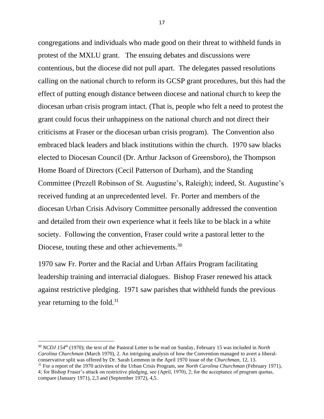congregations and individuals who made good on their threat to withheld funds in protest of the MXLU grant. The ensuing debates and discussions were contentious, but the diocese did not pull apart. The delegates passed resolutions calling on the national church to reform its GCSP grant procedures, but this had the effect of putting enough distance between diocese and national church to keep the diocesan urban crisis program intact. (That is, people who felt a need to protest the grant could focus their unhappiness on the national church and not direct their criticisms at Fraser or the diocesan urban crisis program). The Convention also embraced black leaders and black institutions within the church. 1970 saw blacks elected to Diocesan Council (Dr. Arthur Jackson of Greensboro), the Thompson Home Board of Directors (Cecil Patterson of Durham), and the Standing Committee (Prezell Robinson of St. Augustine's, Raleigh); indeed, St. Augustine's received funding at an unprecedented level. Fr. Porter and members of the diocesan Urban Crisis Advisory Committee personally addressed the convention and detailed from their own experience what it feels like to be black in a white society. Following the convention, Fraser could write a pastoral letter to the Diocese, touting these and other achievements.<sup>30</sup>

1970 saw Fr. Porter and the Racial and Urban Affairs Program facilitating leadership training and interracial dialogues. Bishop Fraser renewed his attack against restrictive pledging. 1971 saw parishes that withheld funds the previous year returning to the fold.<sup>31</sup>

<sup>30</sup> *NCDJ 154th* (1970); the text of the Pastoral Letter to be read on Sunday, February 15 was included in *North Carolina Churchman* (March 1970), 2. An intriguing analysis of how the Convention managed to avert a liberalconservative split was offered by Dr. Sarah Lemmon in the April 1970 issue of the *Churchman,* 12, 13.

<sup>31</sup> For a report of the 1970 activities of the Urban Crisis Program, see *North Carolina Churchman* (February 1971), 4; for Bishop Fraser's attack on restrictive pledging, see (April, 1970), 2; for the acceptance of program quotas, compare (January 1971), 2,3 and (September 1972), 4,5.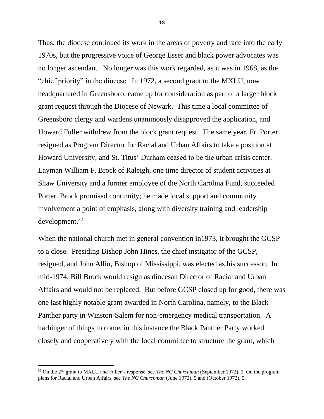Thus, the diocese continued its work in the areas of poverty and race into the early 1970s, but the progressive voice of George Esser and black power advocates was no longer ascendant. No longer was this work regarded, as it was in 1968, as the "chief priority" in the diocese. In 1972, a second grant to the MXLU, now headquartered in Greensboro, came up for consideration as part of a larger block grant request through the Diocese of Newark. This time a local committee of Greensboro clergy and wardens unanimously disapproved the application, and Howard Fuller withdrew from the block grant request. The same year, Fr. Porter resigned as Program Director for Racial and Urban Affairs to take a position at Howard University, and St. Titus' Durham ceased to be the urban crisis center. Layman William F. Brock of Raleigh, one time director of student activities at Shaw University and a former employee of the North Carolina Fund, succeeded Porter. Brock promised continuity; he made local support and community involvement a point of emphasis, along with diversity training and leadership development.<sup>32</sup>

When the national church met in general convention in1973, it brought the GCSP to a close. Presiding Bishop John Hines, the chief instigator of the GCSP, resigned, and John Allin, Bishop of Mississippi, was elected as his successor. In mid-1974, Bill Brock would resign as diocesan Director of Racial and Urban Affairs and would not be replaced. But before GCSP closed up for good, there was one last highly notable grant awarded in North Carolina, namely, to the Black Panther party in Winston-Salem for non-emergency medical transportation. A harbinger of things to come, in this instance the Black Panther Party worked closely and cooperatively with the local committee to structure the grant, which

<sup>32</sup> On the 2nd grant to MXLU and Fuller's response, see *The NC Churchman* (September 1972), 2. On the program plans for Racial and Urban Affairs, see *The NC Churchman* (June 1972), 5 and (October 1972), 5.